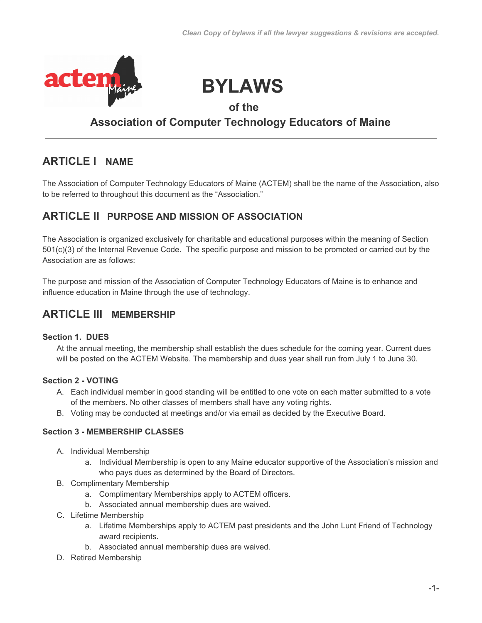

# **BYLAWS**

### **of the**

### **Association of Computer Technology Educators of Maine**

## **ARTICLE I NAME**

The Association of Computer Technology Educators of Maine (ACTEM) shall be the name of the Association, also to be referred to throughout this document as the "Association."

### **ARTICLE II PURPOSE AND MISSION OF ASSOCIATION**

The Association is organized exclusively for charitable and educational purposes within the meaning of Section 501(c)(3) of the Internal Revenue Code. The specific purpose and mission to be promoted or carried out by the Association are as follows:

The purpose and mission of the Association of Computer Technology Educators of Maine is to enhance and influence education in Maine through the use of technology.

### **ARTICLE III MEMBERSHIP**

### **Section 1. DUES**

At the annual meeting, the membership shall establish the dues schedule for the coming year. Current dues will be posted on the ACTEM Website. The membership and dues year shall run from July 1 to June 30.

### **Section 2 - VOTING**

- A. Each individual member in good standing will be entitled to one vote on each matter submitted to a vote of the members. No other classes of members shall have any voting rights.
- B. Voting may be conducted at meetings and/or via email as decided by the Executive Board.

### **Section 3 - MEMBERSHIP CLASSES**

- A. Individual Membership
	- a. Individual Membership is open to any Maine educator supportive of the Association's mission and who pays dues as determined by the Board of Directors.
- B. Complimentary Membership
	- a. Complimentary Memberships apply to ACTEM officers.
	- b. Associated annual membership dues are waived.
- C. Lifetime Membership
	- a. Lifetime Memberships apply to ACTEM past presidents and the John Lunt Friend of Technology award recipients.
	- b. Associated annual membership dues are waived.
- D. Retired Membership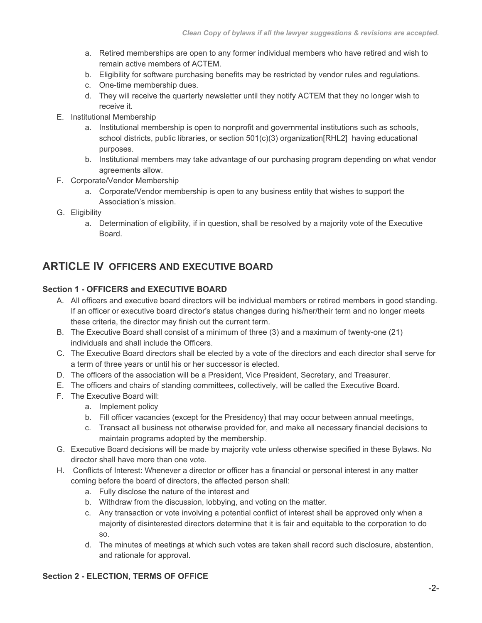- a. Retired memberships are open to any former individual members who have retired and wish to remain active members of ACTEM.
- b. Eligibility for software purchasing benefits may be restricted by vendor rules and regulations.
- c. One-time membership dues.
- d. They will receive the quarterly newsletter until they notify ACTEM that they no longer wish to receive it.
- E. Institutional Membership
	- a. Institutional membership is open to nonprofit and governmental institutions such as schools, school districts, public libraries, or section 501(c)(3) organization[RHL2] having educational purposes.
	- b. Institutional members may take advantage of our purchasing program depending on what vendor agreements allow.
- F. Corporate/Vendor Membership
	- a. Corporate/Vendor membership is open to any business entity that wishes to support the Association's mission.
- G. Eligibility
	- a. Determination of eligibility, if in question, shall be resolved by a majority vote of the Executive Board.

### **ARTICLE IV OFFICERS AND EXECUTIVE BOARD**

### **Section 1 - OFFICERS and EXECUTIVE BOARD**

- A. All officers and executive board directors will be individual members or retired members in good standing. If an officer or executive board director's status changes during his/her/their term and no longer meets these criteria, the director may finish out the current term.
- B. The Executive Board shall consist of a minimum of three (3) and a maximum of twenty-one (21) individuals and shall include the Officers.
- C. The Executive Board directors shall be elected by a vote of the directors and each director shall serve for a term of three years or until his or her successor is elected.
- D. The officers of the association will be a President, Vice President, Secretary, and Treasurer.
- E. The officers and chairs of standing committees, collectively, will be called the Executive Board.
- F. The Executive Board will:
	- a. Implement policy
	- b. Fill officer vacancies (except for the Presidency) that may occur between annual meetings,
	- c. Transact all business not otherwise provided for, and make all necessary financial decisions to maintain programs adopted by the membership.
- G. Executive Board decisions will be made by majority vote unless otherwise specified in these Bylaws. No director shall have more than one vote.
- H. Conflicts of Interest: Whenever a director or officer has a financial or personal interest in any matter coming before the board of directors, the affected person shall:
	- a. Fully disclose the nature of the interest and
	- b. Withdraw from the discussion, lobbying, and voting on the matter.
	- c. Any transaction or vote involving a potential conflict of interest shall be approved only when a majority of disinterested directors determine that it is fair and equitable to the corporation to do so.
	- d. The minutes of meetings at which such votes are taken shall record such disclosure, abstention, and rationale for approval.

#### **Section 2 - ELECTION, TERMS OF OFFICE**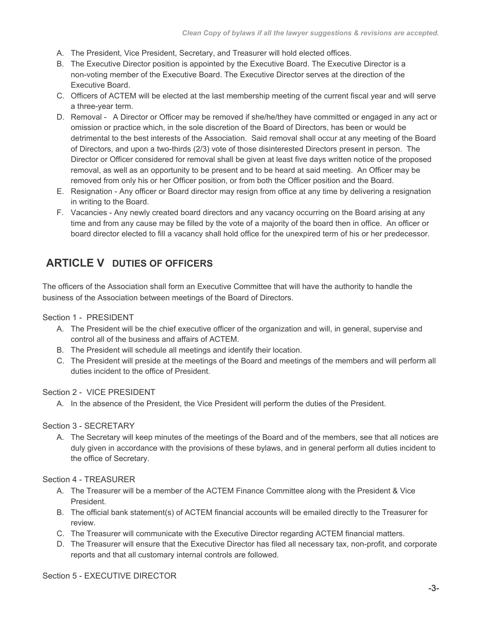- A. The President, Vice President, Secretary, and Treasurer will hold elected offices.
- B. The Executive Director position is appointed by the Executive Board. The Executive Director is a non-voting member of the Executive Board. The Executive Director serves at the direction of the Executive Board.
- C. Officers of ACTEM will be elected at the last membership meeting of the current fiscal year and will serve a three-year term.
- D. Removal A Director or Officer may be removed if she/he/they have committed or engaged in any act or omission or practice which, in the sole discretion of the Board of Directors, has been or would be detrimental to the best interests of the Association. Said removal shall occur at any meeting of the Board of Directors, and upon a two-thirds (2/3) vote of those disinterested Directors present in person. The Director or Officer considered for removal shall be given at least five days written notice of the proposed removal, as well as an opportunity to be present and to be heard at said meeting. An Officer may be removed from only his or her Officer position, or from both the Officer position and the Board.
- E. Resignation Any officer or Board director may resign from office at any time by delivering a resignation in writing to the Board.
- F. Vacancies Any newly created board directors and any vacancy occurring on the Board arising at any time and from any cause may be filled by the vote of a majority of the board then in office. An officer or board director elected to fill a vacancy shall hold office for the unexpired term of his or her predecessor.

# **ARTICLE V DUTIES OF OFFICERS**

The officers of the Association shall form an Executive Committee that will have the authority to handle the business of the Association between meetings of the Board of Directors.

### Section 1 - PRESIDENT

- A. The President will be the chief executive officer of the organization and will, in general, supervise and control all of the business and affairs of ACTEM.
- B. The President will schedule all meetings and identify their location.
- C. The President will preside at the meetings of the Board and meetings of the members and will perform all duties incident to the office of President.

#### Section 2 - VICE PRESIDENT

A. In the absence of the President, the Vice President will perform the duties of the President.

### Section 3 - SECRETARY

A. The Secretary will keep minutes of the meetings of the Board and of the members, see that all notices are duly given in accordance with the provisions of these bylaws, and in general perform all duties incident to the office of Secretary.

#### Section 4 - TREASURER

- A. The Treasurer will be a member of the ACTEM Finance Committee along with the President & Vice President.
- B. The official bank statement(s) of ACTEM financial accounts will be emailed directly to the Treasurer for review.
- C. The Treasurer will communicate with the Executive Director regarding ACTEM financial matters.
- D. The Treasurer will ensure that the Executive Director has filed all necessary tax, non-profit, and corporate reports and that all customary internal controls are followed.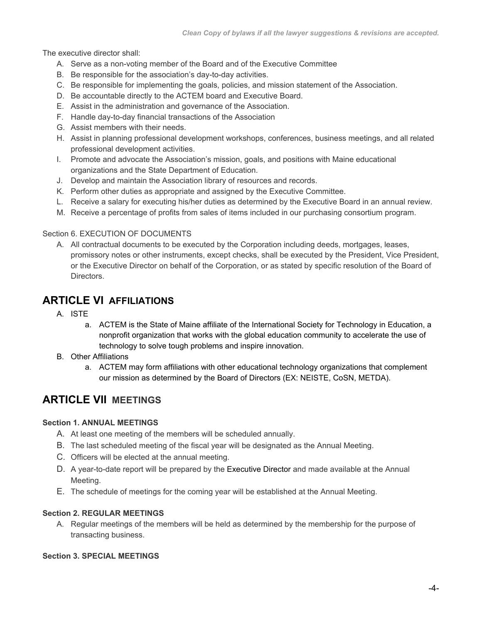The executive director shall:

- A. Serve as a non-voting member of the Board and of the Executive Committee
- B. Be responsible for the association's day-to-day activities.
- C. Be responsible for implementing the goals, policies, and mission statement of the Association.
- D. Be accountable directly to the ACTEM board and Executive Board.
- E. Assist in the administration and governance of the Association.
- F. Handle day-to-day financial transactions of the Association
- G. Assist members with their needs.
- H. Assist in planning professional development workshops, conferences, business meetings, and all related professional development activities.
- I. Promote and advocate the Association's mission, goals, and positions with Maine educational organizations and the State Department of Education.
- J. Develop and maintain the Association library of resources and records.
- K. Perform other duties as appropriate and assigned by the Executive Committee.
- L. Receive a salary for executing his/her duties as determined by the Executive Board in an annual review.
- M. Receive a percentage of profits from sales of items included in our purchasing consortium program.

#### Section 6. EXECUTION OF DOCUMENTS

A. All contractual documents to be executed by the Corporation including deeds, mortgages, leases, promissory notes or other instruments, except checks, shall be executed by the President, Vice President, or the Executive Director on behalf of the Corporation, or as stated by specific resolution of the Board of Directors.

### **ARTICLE VI AFFILIATIONS**

- A. ISTE
	- a. ACTEM is the State of Maine affiliate of the International Society for Technology in Education, a nonprofit organization that works with the global education community to accelerate the use of technology to solve tough problems and inspire innovation.
- B. Other Affiliations
	- a. ACTEM may form affiliations with other educational technology organizations that complement our mission as determined by the Board of Directors (EX: NEISTE, CoSN, METDA).

### **ARTICLE VII MEETINGS**

#### **Section 1. ANNUAL MEETINGS**

- A. At least one meeting of the members will be scheduled annually.
- B. The last scheduled meeting of the fiscal year will be designated as the Annual Meeting.
- C. Officers will be elected at the annual meeting.
- D. A year-to-date report will be prepared by the Executive Director and made available at the Annual Meeting.
- E. The schedule of meetings for the coming year will be established at the Annual Meeting.

#### **Section 2. REGULAR MEETINGS**

A. Regular meetings of the members will be held as determined by the membership for the purpose of transacting business.

#### **Section 3. SPECIAL MEETINGS**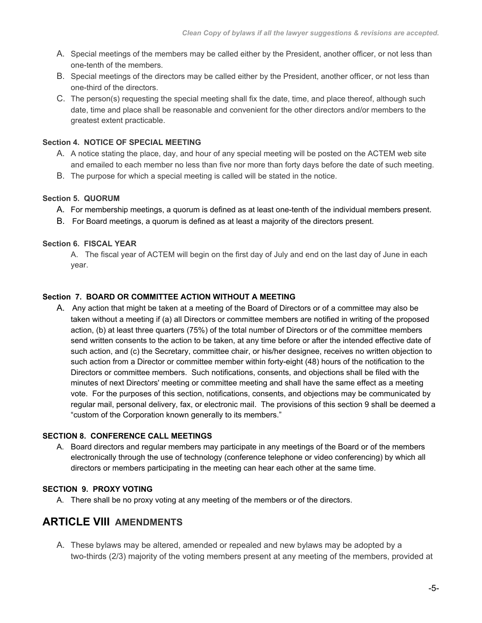- A. Special meetings of the members may be called either by the President, another officer, or not less than one-tenth of the members.
- B. Special meetings of the directors may be called either by the President, another officer, or not less than one-third of the directors.
- C. The person(s) requesting the special meeting shall fix the date, time, and place thereof, although such date, time and place shall be reasonable and convenient for the other directors and/or members to the greatest extent practicable.

### **Section 4. NOTICE OF SPECIAL MEETING**

- A. A notice stating the place, day, and hour of any special meeting will be posted on the ACTEM web site and emailed to each member no less than five nor more than forty days before the date of such meeting.
- B. The purpose for which a special meeting is called will be stated in the notice.

#### **Section 5. QUORUM**

- A. For membership meetings, a quorum is defined as at least one-tenth of the individual members present.
- B. For Board meetings, a quorum is defined as at least a majority of the directors present.

#### **Section 6. FISCAL YEAR**

A. The fiscal year of ACTEM will begin on the first day of July and end on the last day of June in each year.

#### **Section 7. BOARD OR COMMITTEE ACTION WITHOUT A MEETING**

A. Any action that might be taken at a meeting of the Board of Directors or of a committee may also be taken without a meeting if (a) all Directors or committee members are notified in writing of the proposed action, (b) at least three quarters (75%) of the total number of Directors or of the committee members send written consents to the action to be taken, at any time before or after the intended effective date of such action, and (c) the Secretary, committee chair, or his/her designee, receives no written objection to such action from a Director or committee member within forty-eight (48) hours of the notification to the Directors or committee members. Such notifications, consents, and objections shall be filed with the minutes of next Directors' meeting or committee meeting and shall have the same effect as a meeting vote. For the purposes of this section, notifications, consents, and objections may be communicated by regular mail, personal delivery, fax, or electronic mail. The provisions of this section 9 shall be deemed a "custom of the Corporation known generally to its members."

#### **SECTION 8. CONFERENCE CALL MEETINGS**

A. Board directors and regular members may participate in any meetings of the Board or of the members electronically through the use of technology (conference telephone or video conferencing) by which all directors or members participating in the meeting can hear each other at the same time.

### **SECTION 9. PROXY VOTING**

A. There shall be no proxy voting at any meeting of the members or of the directors.

### **ARTICLE VIII AMENDMENTS**

A. These bylaws may be altered, amended or repealed and new bylaws may be adopted by a two-thirds (2/3) majority of the voting members present at any meeting of the members, provided at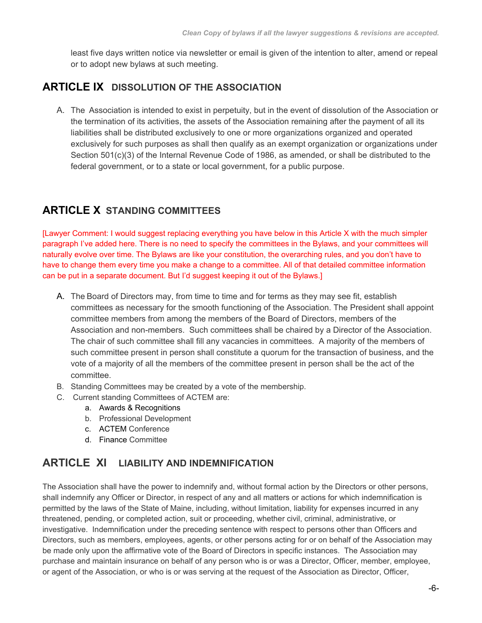least five days written notice via newsletter or email is given of the intention to alter, amend or repeal or to adopt new bylaws at such meeting.

### **ARTICLE IX DISSOLUTION OF THE ASSOCIATION**

A. The Association is intended to exist in perpetuity, but in the event of dissolution of the Association or the termination of its activities, the assets of the Association remaining after the payment of all its liabilities shall be distributed exclusively to one or more organizations organized and operated exclusively for such purposes as shall then qualify as an exempt organization or organizations under Section 501(c)(3) of the Internal Revenue Code of 1986, as amended, or shall be distributed to the federal government, or to a state or local government, for a public purpose.

### **ARTICLE X STANDING COMMITTEES**

[Lawyer Comment: I would suggest replacing everything you have below in this Article X with the much simpler paragraph I've added here. There is no need to specify the committees in the Bylaws, and your committees will naturally evolve over time. The Bylaws are like your constitution, the overarching rules, and you don't have to have to change them every time you make a change to a committee. All of that detailed committee information can be put in a separate document. But I'd suggest keeping it out of the Bylaws.]

- A. The Board of Directors may, from time to time and for terms as they may see fit, establish committees as necessary for the smooth functioning of the Association. The President shall appoint committee members from among the members of the Board of Directors, members of the Association and non-members. Such committees shall be chaired by a Director of the Association. The chair of such committee shall fill any vacancies in committees. A majority of the members of such committee present in person shall constitute a quorum for the transaction of business, and the vote of a majority of all the members of the committee present in person shall be the act of the committee.
- B. Standing Committees may be created by a vote of the membership.
- C. Current standing Committees of ACTEM are:
	- a. Awards & Recognitions
	- b. Professional Development
	- c. ACTEM Conference
	- d. Finance Committee

### **ARTICLE XI LIABILITY AND INDEMNIFICATION**

The Association shall have the power to indemnify and, without formal action by the Directors or other persons, shall indemnify any Officer or Director, in respect of any and all matters or actions for which indemnification is permitted by the laws of the State of Maine, including, without limitation, liability for expenses incurred in any threatened, pending, or completed action, suit or proceeding, whether civil, criminal, administrative, or investigative. Indemnification under the preceding sentence with respect to persons other than Officers and Directors, such as members, employees, agents, or other persons acting for or on behalf of the Association may be made only upon the affirmative vote of the Board of Directors in specific instances. The Association may purchase and maintain insurance on behalf of any person who is or was a Director, Officer, member, employee, or agent of the Association, or who is or was serving at the request of the Association as Director, Officer,